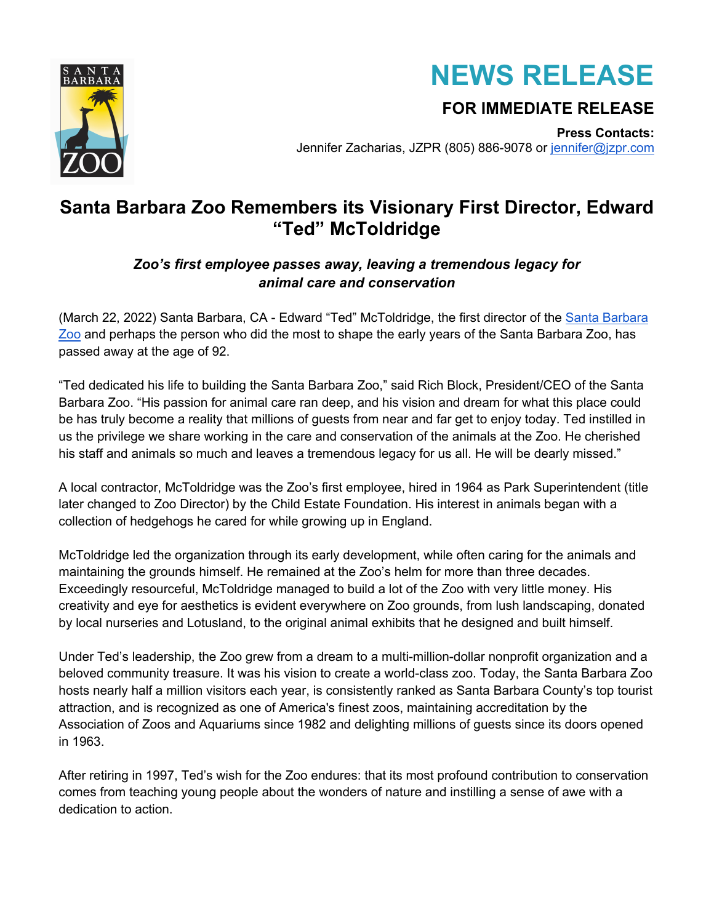



## **FOR IMMEDIATE RELEASE**

**Press Contacts:** 

Jennifer Zacharias, JZPR (805) 886-9078 or jennifer@jzpr.com

## **Santa Barbara Zoo Remembers its Visionary First Director, Edward "Ted" McToldridge**

## *Zoo's first employee passes away, leaving a tremendous legacy for animal care and conservation*

(March 22, 2022) Santa Barbara, CA - Edward "Ted" McToldridge, the first director of the Santa Barbara Zoo and perhaps the person who did the most to shape the early years of the Santa Barbara Zoo, has passed away at the age of 92.

"Ted dedicated his life to building the Santa Barbara Zoo," said Rich Block, President/CEO of the Santa Barbara Zoo. "His passion for animal care ran deep, and his vision and dream for what this place could be has truly become a reality that millions of guests from near and far get to enjoy today. Ted instilled in us the privilege we share working in the care and conservation of the animals at the Zoo. He cherished his staff and animals so much and leaves a tremendous legacy for us all. He will be dearly missed."

A local contractor, McToldridge was the Zoo's first employee, hired in 1964 as Park Superintendent (title later changed to Zoo Director) by the Child Estate Foundation. His interest in animals began with a collection of hedgehogs he cared for while growing up in England.

McToldridge led the organization through its early development, while often caring for the animals and maintaining the grounds himself. He remained at the Zoo's helm for more than three decades. Exceedingly resourceful, McToldridge managed to build a lot of the Zoo with very little money. His creativity and eye for aesthetics is evident everywhere on Zoo grounds, from lush landscaping, donated by local nurseries and Lotusland, to the original animal exhibits that he designed and built himself.

Under Ted's leadership, the Zoo grew from a dream to a multi-million-dollar nonprofit organization and a beloved community treasure. It was his vision to create a world-class zoo. Today, the Santa Barbara Zoo hosts nearly half a million visitors each year, is consistently ranked as Santa Barbara County's top tourist attraction, and is recognized as one of America's finest zoos, maintaining accreditation by the Association of Zoos and Aquariums since 1982 and delighting millions of guests since its doors opened in 1963.

After retiring in 1997, Ted's wish for the Zoo endures: that its most profound contribution to conservation comes from teaching young people about the wonders of nature and instilling a sense of awe with a dedication to action.